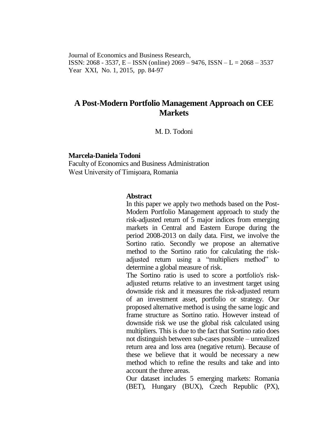Journal of Economics and Business Research, ISSN: 2068 - 3537, E – ISSN (online) 2069 – 9476, ISSN – L = 2068 – 3537 Year XXI, No. 1, 2015, pp. 84-97

# **A Post-Modern Portfolio Management Approach on CEE Markets**

M. D. Todoni

### **Marcela-Daniela Todoni**

Faculty of Economics and Business Administration West University of Timişoara, Romania

### **Abstract**

In this paper we apply two methods based on the Post-Modern Portfolio Management approach to study the risk-adjusted return of 5 major indices from emerging markets in Central and Eastern Europe during the period 2008-2013 on daily data. First, we involve the Sortino ratio. Secondly we propose an alternative method to the Sortino ratio for calculating the riskadjusted return using a "multipliers method" to determine a global measure of risk.

The Sortino ratio is used to score a portfolio's riskadjusted returns relative to an investment target using downside risk and it measures the risk-adjusted return of an investment asset, portfolio or strategy. Our proposed alternative method is using the same logic and frame structure as Sortino ratio. However instead of downside risk we use the global risk calculated using multipliers. This is due to the fact that Sortino ratio does not distinguish between sub-cases possible – unrealized return area and loss area (negative return). Because of these we believe that it would be necessary a new method which to refine the results and take and into account the three areas.

Our dataset includes 5 emerging markets: Romania (BET), Hungary (BUX), Czech Republic (PX),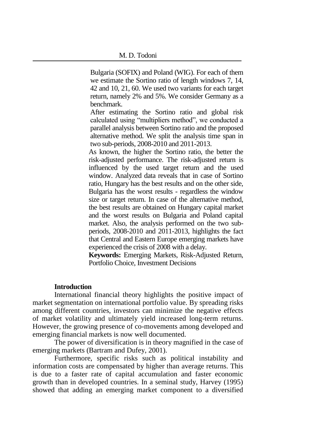M. D. Todoni

Bulgaria (SOFIX) and Poland (WIG). For each of them we estimate the Sortino ratio of length windows 7, 14, 42 and 10, 21, 60. We used two variants for each target return, namely 2% and 5%. We consider Germany as a benchmark.

After estimating the Sortino ratio and global risk calculated using "multipliers method", we conducted a parallel analysis between Sortino ratio and the proposed alternative method. We split the analysis time span in two sub-periods, 2008-2010 and 2011-2013.

As known, the higher the Sortino ratio, the better the risk-adjusted performance. The risk-adjusted return is influenced by the used target return and the used window. Analyzed data reveals that in case of Sortino ratio, Hungary has the best results and on the other side, Bulgaria has the worst results - regardless the window size or target return. In case of the alternative method, the best results are obtained on Hungary capital market and the worst results on Bulgaria and Poland capital market. Also, the analysis performed on the two subperiods, 2008-2010 and 2011-2013, highlights the fact that Central and Eastern Europe emerging markets have experienced the crisis of 2008 with a delay.

**Keywords:** Emerging Markets, Risk-Adjusted Return, Portfolio Choice, Investment Decisions

### **Introduction**

International financial theory highlights the positive impact of market segmentation on international portfolio value. By spreading risks among different countries, investors can minimize the negative effects of market volatility and ultimately yield increased long-term returns. However, the growing presence of co-movements among developed and emerging financial markets is now well documented.

The power of diversification is in theory magnified in the case of emerging markets (Bartram and Dufey, 2001).

Furthermore, specific risks such as political instability and information costs are compensated by higher than average returns. This is due to a faster rate of capital accumulation and faster economic growth than in developed countries. In a seminal study, Harvey (1995) showed that adding an emerging market component to a diversified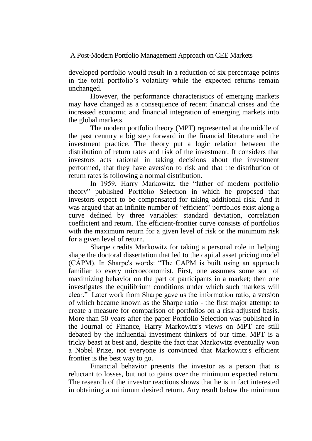developed portfolio would result in a reduction of six percentage points in the total portfolio's volatility while the expected returns remain unchanged.

However, the performance characteristics of emerging markets may have changed as a consequence of recent financial crises and the increased economic and financial integration of emerging markets into the global markets.

The modern portfolio theory (MPT) represented at the middle of the past century a big step forward in the financial literature and the investment practice. The theory put a logic relation between the distribution of return rates and risk of the investment. It considers that investors acts rational in taking decisions about the investment performed, that they have aversion to risk and that the distribution of return rates is following a normal distribution.

In 1959, Harry Markowitz, the "father of modern portfolio theory" published Portfolio Selection in which he proposed that investors expect to be compensated for taking additional risk. And it was argued that an infinite number of "efficient" portfolios exist along a curve defined by three variables: standard deviation, correlation coefficient and return. The efficient-frontier curve consists of portfolios with the maximum return for a given level of risk or the minimum risk for a given level of return.

Sharpe credits Markowitz for taking a personal role in helping shape the doctoral dissertation that led to the capital asset pricing model (CAPM). In Sharpe's words: "The CAPM is built using an approach familiar to every microeconomist. First, one assumes some sort of maximizing behavior on the part of participants in a market; then one investigates the equilibrium conditions under which such markets will clear." Later work from Sharpe gave us the information ratio, a version of which became known as the Sharpe ratio - the first major attempt to create a measure for comparison of portfolios on a risk-adjusted basis. More than 50 years after the paper Portfolio Selection was published in the Journal of Finance, Harry Markowitz's views on MPT are still debated by the influential investment thinkers of our time. MPT is a tricky beast at best and, despite the fact that Markowitz eventually won a Nobel Prize, not everyone is convinced that Markowitz's efficient frontier is the best way to go.

Financial behavior presents the investor as a person that is reluctant to losses, but not to gains over the minimum expected return. The research of the investor reactions shows that he is in fact interested in obtaining a minimum desired return. Any result below the minimum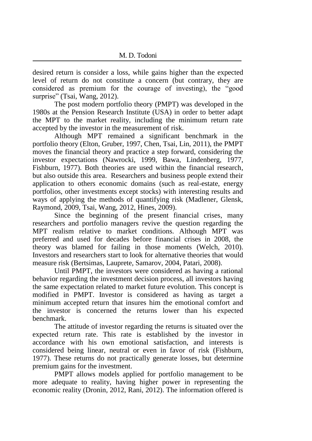desired return is consider a loss, while gains higher than the expected level of return do not constitute a concern (but contrary, they are considered as premium for the courage of investing), the "good surprise" (Tsai, Wang, 2012).

The post modern portfolio theory (PMPT) was developed in the 1980s at the Pension Research Institute (USA) in order to better adapt the MPT to the market reality, including the minimum return rate accepted by the investor in the measurement of risk.

Although MPT remained a significant benchmark in the portfolio theory (Elton, Gruber, 1997, Chen, Tsai, Lin, 2011), the PMPT moves the financial theory and practice a step forward, considering the investor expectations (Nawrocki, 1999, Bawa, Lindenberg, 1977, Fishburn, 1977). Both theories are used within the financial research, but also outside this area. Researchers and business people extend their application to others economic domains (such as real-estate, energy portfolios, other investments except stocks) with interesting results and ways of applying the methods of quantifying risk (Madlener, Glensk, Raymond, 2009, Tsai, Wang, 2012, Hines, 2009).

Since the beginning of the present financial crises, many researchers and portfolio managers revive the question regarding the MPT realism relative to market conditions. Although MPT was preferred and used for decades before financial crises in 2008, the theory was blamed for failing in those moments (Welch, 2010). Investors and researchers start to look for alternative theories that would measure risk (Bertsimas, Lauprete, Samarov, 2004, Patari, 2008).

Until PMPT, the investors were considered as having a rational behavior regarding the investment decision process, all investors having the same expectation related to market future evolution. This concept is modified in PMPT. Investor is considered as having as target a minimum accepted return that insures him the emotional comfort and the investor is concerned the returns lower than his expected benchmark.

The attitude of investor regarding the returns is situated over the expected return rate. This rate is established by the investor in accordance with his own emotional satisfaction, and interests is considered being linear, neutral or even in favor of risk (Fishburn, 1977). These returns do not practically generate losses, but determine premium gains for the investment.

PMPT allows models applied for portfolio management to be more adequate to reality, having higher power in representing the economic reality (Dronin, 2012, Rani, 2012). The information offered is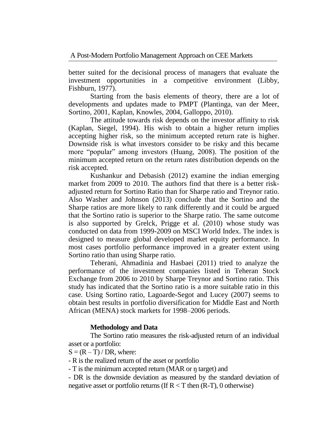better suited for the decisional process of managers that evaluate the investment opportunities in a competitive environment (Libby, Fishburn, 1977).

Starting from the basis elements of theory, there are a lot of developments and updates made to PMPT (Plantinga, van der Meer, Sortino, 2001, Kaplan, Knowles, 2004, Galloppo, 2010).

The attitude towards risk depends on the investor affinity to risk (Kaplan, Siegel, 1994). His wish to obtain a higher return implies accepting higher risk, so the minimum accepted return rate is higher. Downside risk is what investors consider to be risky and this became more "popular" among investors (Huang, 2008). The position of the minimum accepted return on the return rates distribution depends on the risk accepted.

Kushankur and Debasish (2012) examine the indian emerging market from 2009 to 2010. The authors find that there is a better riskadjusted return for Sortino Ratio than for Sharpe ratio and Treynor ratio. Also Washer and Johnson (2013) conclude that the Sortino and the Sharpe ratios are more likely to rank differently and it could be argued that the Sortino ratio is superior to the Sharpe ratio. The same outcome is also supported by Grelck, Prigge et al. (2010) whose study was conducted on data from 1999-2009 on MSCI World Index. The index is designed to measure global developed market equity performance. In most cases portfolio performance improved in a greater extent using Sortino ratio than using Sharpe ratio.

Teherani, Ahmadinia and Hasbaei (2011) tried to analyze the performance of the investment companies listed in Teheran Stock Exchange from 2006 to 2010 by Sharpe Treynor and Sortino ratio. This study has indicated that the Sortino ratio is a more suitable ratio in this case. Using Sortino ratio, Lagoarde-Segot and Lucey (2007) seems to obtain best results in portfolio diversification for Middle East and North African (MENA) stock markets for 1998–2006 periods.

## **Methodology and Data**

The Sortino ratio measures the risk-adjusted return of an individual asset or a portfolio:

 $S = (R - T) / DR$ , where:

- R is the realized return of the asset or portfolio

- T is the minimum accepted return (MAR or ŋ target) and

- DR is the downside deviation as measured by the standard deviation of negative asset or portfolio returns (If  $R < T$  then  $(R-T)$ , 0 otherwise)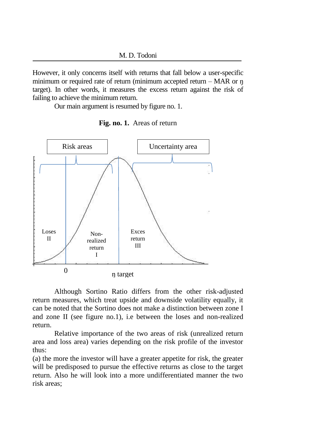However, it only concerns itself with returns that fall below a user-specific minimum or required rate of return (minimum accepted return – MAR or  $\eta$ ) target). In other words, it measures the excess return against the risk of failing to achieve the minimum return.

Our main argument is resumed by figure no. 1.



**Fig. no. 1.** Areas of return

Although Sortino Ratio differs from the other risk-adjusted return measures, which treat upside and downside volatility equally, it can be noted that the Sortino does not make a distinction between zone I and zone II (see figure no.1), i.e between the loses and non-realized return.

Relative importance of the two areas of risk (unrealized return area and loss area) varies depending on the risk profile of the investor thus:

(a) the more the investor will have a greater appetite for risk, the greater will be predisposed to pursue the effective returns as close to the target return. Also he will look into a more undifferentiated manner the two risk areas;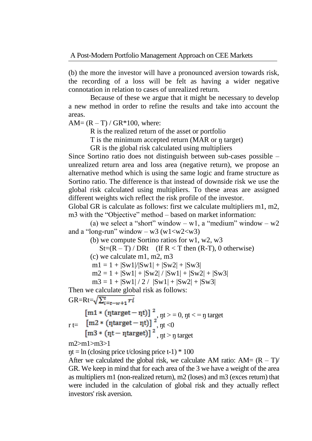(b) the more the investor will have a pronounced aversion towards risk, the recording of a loss will be felt as having a wider negative connotation in relation to cases of unrealized return.

Because of these we argue that it might be necessary to develop a new method in order to refine the results and take into account the areas.

AM=  $(R - T) / GR*100$ , where:

R is the realized return of the asset or portfolio

T is the minimum accepted return (MAR or ŋ target)

GR is the global risk calculated using multipliers

Since Sortino ratio does not distinguish between sub-cases possible – unrealized return area and loss area (negative return), we propose an alternative method which is using the same logic and frame structure as Sortino ratio. The difference is that instead of downside risk we use the global risk calculated using multipliers. To these areas are assigned different weights wich reflect the risk profile of the investor.

Global GR is calculate as follows: first we calculate multipliers m1, m2, m3 with the "Objective" method – based on market information:

(a) we select a "short" window – w1, a "medium" window –  $w2$ and a "long-run" window –  $w3(w1 \le w2 \le w3)$ 

(b) we compute Sortino ratios for w1, w2, w3

 $St=(R - T)/DRt$  (If  $R < T$  then (R-T), 0 otherwise)

(c) we calculate m1, m2, m3

 $m1 = 1 + |Sw1|/|Sw1| + |Sw2| + |Sw3|$ 

 $m2 = 1 + |Sw1| + |Sw2| / |Sw1| + |Sw2| + |Sw3|$ 

 $m3 = 1 + |Sw1| / 2 / |Sw1| + |Sw2| + |Sw3|$ 

Then we calculate global risk as follows:

$$
GR=Rt=\sqrt{\sum_{i=t-w+1}^{t} r_i}
$$

 $\lfloor m1*(n \text{target} - n \text{t}) \rfloor$ ,  $n \text{t} > 0$ ,  $n \text{t} < n \text{target}$  $r$  t=  $\lfloor$   $\lfloor$   $\ln\!Z*$  ( $\eta$  target  $\eta$ t)]  $\lceil$   $\lceil$   $\eta$ t  $<$   $\eta$  $\lfloor$ m3 \*  $(\eta t - \eta t)$  target $\rfloor$   $\rfloor$   $\ldots$   $\eta t$   $>$   $\eta$  target

m2>m1>m3>1

 $\eta t = \ln$  (closing price t/closing price t-1)  $*$  100

After we calculated the global risk, we calculate AM ratio:  $AM = (R - T)/$ GR. We keep in mind that for each area of the 3 we have a weight of the area as multipliers m1 (non-realized return), m2 (loses) and m3 (exces return) that were included in the calculation of global risk and they actually reflect investors' risk aversion.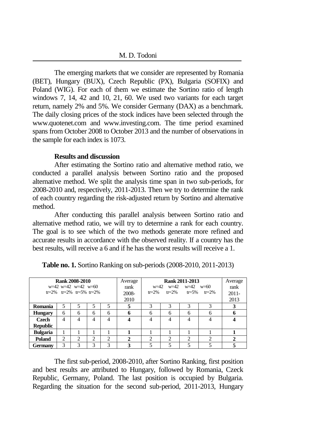### M. D. Todoni

The emerging markets that we consider are represented by Romania (BET), Hungary (BUX), Czech Republic (PX), Bulgaria (SOFIX) and Poland (WIG). For each of them we estimate the Sortino ratio of length windows 7, 14, 42 and 10, 21, 60. We used two variants for each target return, namely 2% and 5%. We consider Germany (DAX) as a benchmark. The daily closing prices of the stock indices have been selected through the www.quotenet.com and www.investing.com. The time period examined spans from October 2008 to October 2013 and the number of observations in the sample for each index is 1073.

### **Results and discussion**

After estimating the Sortino ratio and alternative method ratio, we conducted a parallel analysis between Sortino ratio and the proposed alternative method. We split the analysis time span in two sub-periods, for 2008-2010 and, respectively, 2011-2013. Then we try to determine the rank of each country regarding the risk-adjusted return by Sortino and alternative method.

After conducting this parallel analysis between Sortino ratio and alternative method ratio, we will try to determine a rank for each country. The goal is to see which of the two methods generate more refined and accurate results in accordance with the observed reality. If a country has the best results, will receive a 6 and if he has the worst results will receive a 1.

|                 |                | <b>Rank 2008-2010</b><br>$w=42$ $w=42$ $w=42$ $w=60$<br>tr=2% tr=2% tr=5% tr=2% |   |                | Average<br>rank | $w=42$ $w=42$<br>$tr=2\%$ | Average<br>rank<br>$2011 -$ |   |   |             |
|-----------------|----------------|---------------------------------------------------------------------------------|---|----------------|-----------------|---------------------------|-----------------------------|---|---|-------------|
|                 |                |                                                                                 |   | 2008-<br>2010  |                 | 2013                      |                             |   |   |             |
| <b>Romania</b>  |                |                                                                                 |   |                | 5               | 3                         |                             |   | 3 | 3           |
| <b>Hungary</b>  | 6              | 6                                                                               | 6 | 6              | 6               | 6                         | 6                           | 6 | 6 | 6           |
| <b>Czech</b>    | $\overline{4}$ | 4                                                                               | 4 | 4              |                 | 4                         | 4                           |   |   |             |
| <b>Republic</b> |                |                                                                                 |   |                |                 |                           |                             |   |   |             |
| <b>Bulgaria</b> |                |                                                                                 |   |                |                 |                           |                             |   |   |             |
| <b>Poland</b>   | $\gamma$       | ◠                                                                               | っ | $\overline{c}$ | 2               | ∍                         | $\overline{c}$              | ∍ | ↑ | $\mathbf 2$ |
| Germany         | 3              | 3                                                                               | 3 | 3              | 3               | 5                         | 5                           |   |   |             |

**Table no. 1.** Sortino Ranking on sub-periods (2008-2010, 2011-2013)

The first sub-period, 2008-2010, after Sortino Ranking, first position and best results are attributed to Hungary, followed by Romania, Czeck Republic, Germany, Poland. The last position is occupied by Bulgaria. Regarding the situation for the second sub-period, 2011-2013, Hungary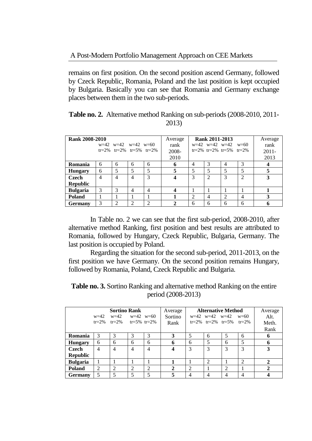remains on first position. On the second position ascend Germany, followed by Czeck Republic, Romania, Poland and the last position is kept occupied by Bulgaria. Basically you can see that Romania and Germany exchange places between them in the two sub-periods.

| Rank 2008-2010  | Average       |                | Rank 2011-2013                      | Average        |       |                               |                             |                                     |   |          |
|-----------------|---------------|----------------|-------------------------------------|----------------|-------|-------------------------------|-----------------------------|-------------------------------------|---|----------|
|                 |               |                | $w=42$ $w=42$ $w=42$ $w=60$         |                | rank  |                               |                             | $w=42$ $w=42$ $w=42$ $w=60$         |   | rank     |
|                 |               |                | $tr=2\%$ $tr=2\%$ $tr=5\%$ $tr=2\%$ |                | 2008- |                               |                             | $tr=2\%$ $tr=2\%$ $tr=5\%$ $tr=2\%$ |   | $2011 -$ |
|                 |               |                |                                     |                | 2010  |                               |                             |                                     |   | 2013     |
| Romania         | 6             | 6              | 6                                   | 6              |       | 4                             |                             |                                     |   |          |
| <b>Hungary</b>  | 6             | 5              | 5                                   | 5              |       | 5                             |                             |                                     | 5 |          |
| Czech           | 4             | $\overline{4}$ | 4                                   | 3              |       | 3                             | $\mathcal{D}_{\mathcal{A}}$ | 3                                   |   | 3        |
| <b>Republic</b> |               |                |                                     |                |       |                               |                             |                                     |   |          |
| <b>Bulgaria</b> | $\mathcal{R}$ | 3              | 4                                   | 4              |       |                               |                             |                                     |   |          |
| Poland          |               |                |                                     |                |       | $\mathfrak{D}_{\mathfrak{p}}$ |                             | $\mathcal{D}_{\mathcal{L}}$         |   | 3        |
| Germany         | 3             | 2              | ◠                                   | $\overline{c}$ | 2     | 6                             |                             | 6                                   | 6 | 6        |

**Table no. 2.** Alternative method Ranking on sub-periods (2008-2010, 2011- 2013)

In Table no. 2 we can see that the first sub-period, 2008-2010, after alternative method Ranking, first position and best results are attributed to Romania, followed by Hungary, Czeck Republic, Bulgaria, Germany. The last position is occupied by Poland.

Regarding the situation for the second sub-period, 2011-2013, on the first position we have Germany. On the second position remains Hungary, followed by Romania, Poland, Czeck Republic and Bulgaria.

**Table no. 3.** Sortino Ranking and alternative method Ranking on the entire period (2008-2013)

|                          | <b>Sortino Rank</b><br>$w=42$<br>$w=42$ $w=60$<br>$w=42$<br>$tr=2\%$ $tr=2\%$ $tr=5\%$ $tr=2\%$ |                |                             |                             | Average<br>Sortino<br>Rank | <b>Alternative Method</b><br>$w=42$ $w=42$ $w=42$<br>$tr=2\%$ $tr=2\%$ $tr=5\%$ $tr=2\%$ | Average<br>Alt.<br>Meth.<br>Rank |               |               |              |
|--------------------------|-------------------------------------------------------------------------------------------------|----------------|-----------------------------|-----------------------------|----------------------------|------------------------------------------------------------------------------------------|----------------------------------|---------------|---------------|--------------|
| Romania                  | 3                                                                                               | 3              | 3                           | 3                           | 3                          | 5                                                                                        | 6                                | 5             | 6             | 6            |
| <b>Hungary</b>           | 6                                                                                               | 6              | 6                           | 6                           | 6                          | 6                                                                                        |                                  | 6             | 5             | 6            |
| Czech<br><b>Republic</b> | 4                                                                                               | 4              | 4                           | 4                           |                            | $\mathcal{R}$                                                                            | 3                                | 3             | $\mathcal{R}$ | 3            |
| <b>Bulgaria</b>          |                                                                                                 |                |                             |                             |                            |                                                                                          | 2                                |               | ∍             |              |
| Poland                   | $\overline{c}$                                                                                  | $\mathfrak{D}$ | $\mathcal{D}_{\mathcal{L}}$ | $\mathcal{D}_{\mathcal{A}}$ | $\mathbf{2}$               | $\mathcal{D}_{\mathcal{L}}$                                                              |                                  | $\mathcal{L}$ |               | $\mathbf{2}$ |
| <b>Germany</b>           | 5                                                                                               | 5              |                             |                             |                            | 4                                                                                        |                                  | 4             |               |              |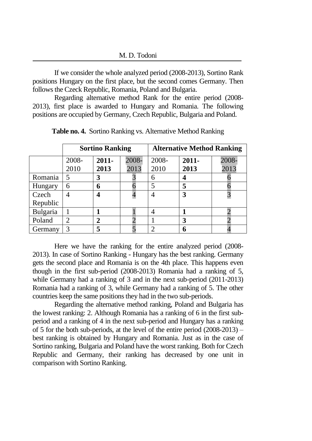M. D. Todoni

If we consider the whole analyzed period (2008-2013), Sortino Rank positions Hungary on the first place, but the second comes Germany. Then follows the Czeck Republic, Romania, Poland and Bulgaria.

Regarding alternative method Rank for the entire period (2008- 2013), first place is awarded to Hungary and Romania. The following positions are occupied by Germany, Czech Republic, Bulgaria and Poland.

|          |                             | <b>Sortino Ranking</b> |       | <b>Alternative Method Ranking</b> |          |       |  |  |
|----------|-----------------------------|------------------------|-------|-----------------------------------|----------|-------|--|--|
|          | $2011 -$<br>2008-           |                        | 2008- | 2008-                             | $2011 -$ | 2008- |  |  |
|          | 2010                        | 2013                   | 2013  | 2010                              | 2013     | 2013  |  |  |
| Romania  |                             | 3                      |       | 6                                 |          |       |  |  |
| Hungary  | 6                           | 6                      |       | 5                                 | 5        |       |  |  |
| Czech    |                             | 4                      |       | 4                                 | 3        |       |  |  |
| Republic |                             |                        |       |                                   |          |       |  |  |
| Bulgaria |                             |                        |       | 4                                 |          |       |  |  |
| Poland   | $\mathcal{D}_{\mathcal{L}}$ | 2                      |       |                                   | 3        |       |  |  |
| Germany  |                             | 5                      |       | ി                                 |          |       |  |  |

**Table no. 4.** Sortino Ranking vs. Alternative Method Ranking

Here we have the ranking for the entire analyzed period (2008- 2013). In case of Sortino Ranking - Hungary has the best ranking. Germany gets the second place and Romania is on the 4th place. This happens even though in the first sub-period (2008-2013) Romania had a ranking of 5, while Germany had a ranking of 3 and in the next sub-period (2011-2013) Romania had a ranking of 3, while Germany had a ranking of 5. The other countries keep the same positions they had in the two sub-periods.

Regarding the alternative method ranking, Poland and Bulgaria has the lowest ranking: 2. Although Romania has a ranking of 6 in the first subperiod and a ranking of 4 in the next sub-period and Hungary has a ranking of 5 for the both sub-periods, at the level of the entire period (2008-2013) – best ranking is obtained by Hungary and Romania. Just as in the case of Sortino ranking, Bulgaria and Poland have the worst ranking. Both for Czech Republic and Germany, their ranking has decreased by one unit in comparison with Sortino Ranking.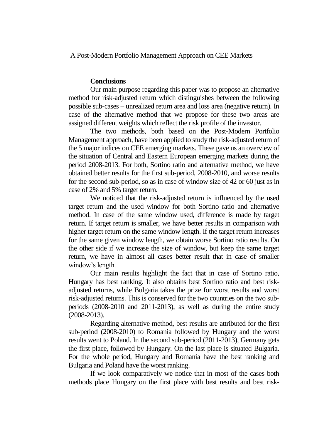### **Conclusions**

Our main purpose regarding this paper was to propose an alternative method for risk-adjusted return which distinguishes between the following possible sub-cases – unrealized return area and loss area (negative return). In case of the alternative method that we propose for these two areas are assigned different weights which reflect the risk profile of the investor.

The two methods, both based on the Post-Modern Portfolio Management approach, have been applied to study the risk-adjusted return of the 5 major indices on CEE emerging markets. These gave us an overview of the situation of Central and Eastern European emerging markets during the period 2008-2013. For both, Sortino ratio and alternative method, we have obtained better results for the first sub-period, 2008-2010, and worse results for the second sub-period, so as in case of window size of 42 or 60 just as in case of 2% and 5% target return.

We noticed that the risk-adjusted return is influenced by the used target return and the used window for both Sortino ratio and alternative method. In case of the same window used, difference is made by target return. If target return is smaller, we have better results in comparison with higher target return on the same window length. If the target return increases for the same given window length, we obtain worse Sortino ratio results. On the other side if we increase the size of window, but keep the same target return, we have in almost all cases better result that in case of smaller window's length.

Our main results highlight the fact that in case of Sortino ratio, Hungary has best ranking. It also obtains best Sortino ratio and best riskadjusted returns, while Bulgaria takes the prize for worst results and worst risk-adjusted returns. This is conserved for the two countries on the two subperiods (2008-2010 and 2011-2013), as well as during the entire study (2008-2013).

Regarding alternative method, best results are attributed for the first sub-period (2008-2010) to Romania followed by Hungary and the worst results went to Poland. In the second sub-period (2011-2013), Germany gets the first place, followed by Hungary. On the last place is situated Bulgaria. For the whole period, Hungary and Romania have the best ranking and Bulgaria and Poland have the worst ranking.

If we look comparatively we notice that in most of the cases both methods place Hungary on the first place with best results and best risk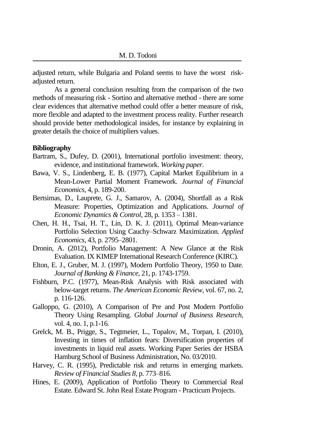adjusted return, while Bulgaria and Poland seems to have the worst riskadjusted return.

As a general conclusion resulting from the comparison of the two methods of measuring risk - Sortino and alternative method - there are some clear evidences that alternative method could offer a better measure of risk, more flexible and adapted to the investment process reality. Further research should provide better methodological insides, for instance by explaining in greater details the choice of multipliers values.

# **Bibliography**

- Bartram, S., Dufey, D. (2001), International portfolio investment: theory, evidence, and institutional framework. *Working paper.*
- Bawa, V. S., Lindenberg, E. B. (1977), Capital Market Equilibrium in a Mean-Lower Partial Moment Framework. *Journal of Financial Economics,* 4, p. 189-200.
- Bertsimas, D., Lauprete, G. J., Samarov, A. (2004), Shortfall as a Risk Measure: Properties, Optimization and Applications. *Journal of Economic Dynamics & Control,* 28, p. 1353 – 1381.
- Chen, H. H., Tsai, H. T., Lin, D. K. J. (2011), Optimal Mean-variance Portfolio Selection Using Cauchy–Schwarz Maximization. *Applied Economics,* 43, p. 2795–2801.
- Dronin, A. (2012), Portfolio Management: A New Glance at the Risk Evaluation. IX KIMEP International Research Conference (KIRC).
- Elton, E. J., Gruber, M. J. (1997), Modern Portfolio Theory, 1950 to Date. *Journal of Banking & Finance,* 21, p. 1743-1759.
- Fishburn, P.C. (1977), Mean-Risk Analysis with Risk associated with below-target returns. *The American Economic Review,* vol. 67, no. 2, p. 116-126.
- Galloppo, G. (2010), A Comparison of Pre and Post Modern Portfolio Theory Using Resampling. *Global Journal of Business Research,* vol. 4, no. 1, p.1-16.
- Grelck, M. B., Prigge, S., Tegtmeier, L., Topalov, M., Torpan, I. (2010), Investing in times of inflation fears: Diversification properties of investments in liquid real assets. Working Paper Series der HSBA Hamburg School of Business Administration, No. 03/2010.
- Harvey, C. R. (1995), Predictable risk and returns in emerging markets. *Review of Financial Studies 8,* p. 773–816.
- Hines, E. (2009), Application of Portfolio Theory to Commercial Real Estate. Edward St. John Real Estate Program - Practicum Projects.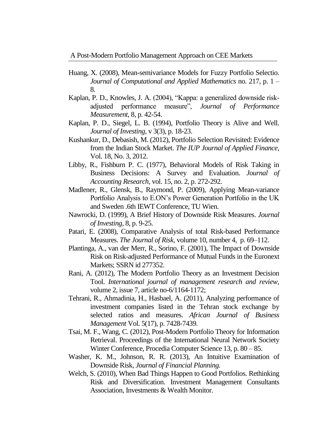- Huang, X. (2008), Mean-semivariance Models for Fuzzy Portfolio Selectio. *Journal of Computational and Applied Mathematics* no. 217, p. 1 – 8.
- Kaplan, P. D., Knowles, J. A. (2004), "Kappa: a generalized downside riskadjusted performance measure", *Journal of Performance Measurement,* 8, p. 42-54.
- Kaplan, P. D., Siegel, L. B. (1994), Portfolio Theory is Alive and Well. *Journal of Investing,* v 3(3), p. 18-23.
- Kushankur, D., Debasish, M. (2012), Portfolio Selection Revisited: Evidence from the Indian Stock Market. *The IUP Journal of Applied Finance,* Vol. 18, No. 3, 2012.
- Libby, R., Fishburn P. C. (1977), Behavioral Models of Risk Taking in Business Decisions: A Survey and Evaluation. *Journal of Accounting Research,* vol. 15, no. 2, p. 272-292.
- Madlener, R., Glensk, B., Raymond, P. (2009), Applying Mean-variance Portfolio Analysis to E.ON's Power Generation Portfolio in the UK and Sweden .6th IEWT Conference, TU Wien.
- Nawrocki, D. (1999), A Brief History of Downside Risk Measures. *Journal of Investing,* 8, p. 9-25.
- Patari, E. (2008), Comparative Analysis of total Risk-based Performance Measures. *The Journal of Risk,* volume 10, number 4, p. 69–112.
- Plantinga, A., van der Merr, R., Sorino, F. (2001), The Impact of Downside Risk on Risk-adjusted Performance of Mutual Funds in the Euronext Markets; SSRN id 277352.
- Rani, A. (2012), The Modern Portfolio Theory as an Investment Decision Tool. *International journal of management research and review,* volume 2, issue 7, article no-6/1164-1172;
- Tehrani, R., Ahmadinia, H., Hasbael, A. (2011), Analyzing performance of investment companies listed in the Tehran stock exchange by selected ratios and measures. *African Journal of Business Management* Vol. 5(17), p. 7428-7439.
- Tsai, M. F., Wang, C. (2012), Post-Modern Portfolio Theory for Information Retrieval. Proceedings of the International Neural Network Society Winter Conference, Procedia Computer Science 13, p. 80 – 85.
- Washer, K. M., Johnson, R. R. (2013), An Intuitive Examination of Downside Risk, *Journal of Financial Planning.*
- Welch, S. (2010), When Bad Things Happen to Good Portfolios. Rethinking Risk and Diversification. Investment Management Consultants Association, Investments & Wealth Monitor.